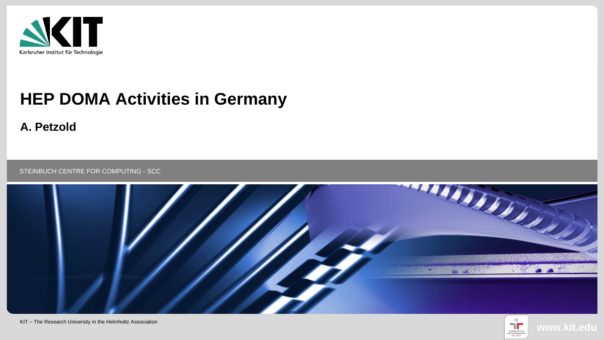

# **HEP DOMA Activities in Germany**

**A. Petzold**

STEINBUCH CENTRE FOR COMPUTING - SCC



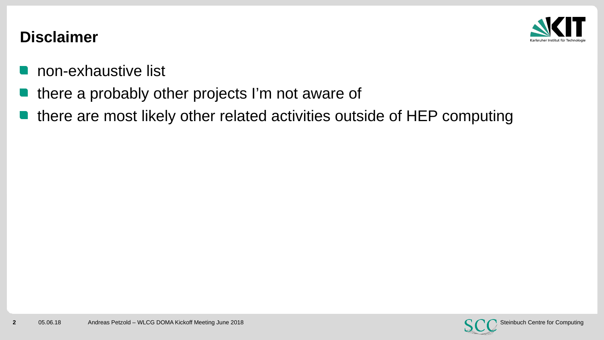

#### **Disclaimer**

- non-exhaustive list  $\Box$
- there a probably other projects I'm not aware of
- there are most likely other related activities outside of HEP computing

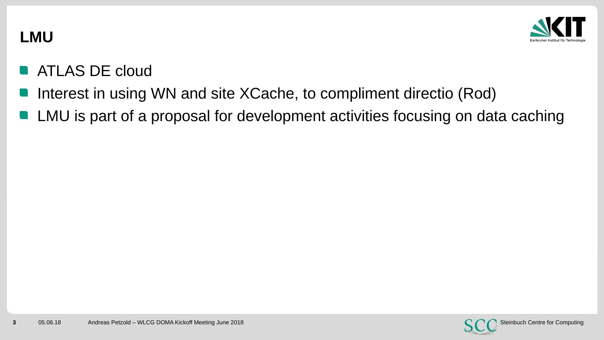

### **LMU**

- **ATLAS DE cloud**
- Interest in using WN and site XCache, to compliment directio (Rod)
- LMU is part of a proposal for development activities focusing on data caching

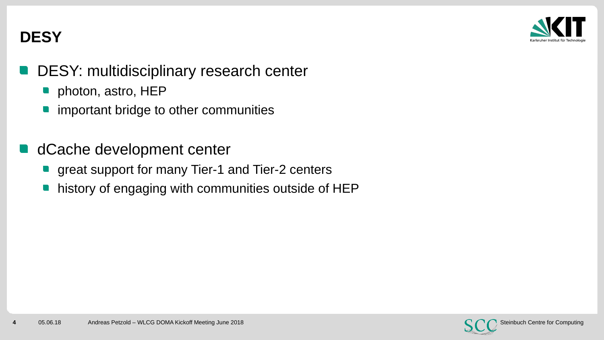

# **DESY**

- DESY: multidisciplinary research center
	- photon, astro, HEP
	- important bridge to other communities
- dCache development center
- **n** great support for many Tier-1 and Tier-2 centers
	- history of engaging with communities outside of HEP

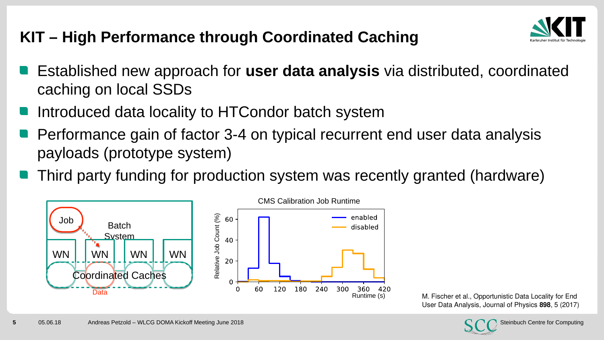# **KIT – High Performance through Coordinated Caching**



- Established new approach for **user data analysis** via distributed, coordinated caching on local SSDs
- Introduced data locality to HTCondor batch system
- Performance gain of factor 3-4 on typical recurrent end user data analysis payloads (prototype system)
- **Third party funding for production system was recently granted (hardware)**



M. Fischer et al., Opportunistic Data Locality for End User Data Analysis, Journal of Physics **898**, 5 (2017)

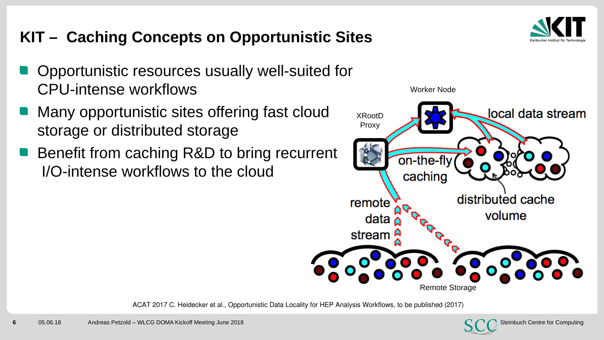# **KIT – Caching Concepts on Opportunistic Sites**

- Opportunistic resources usually well-suited for CPU-intense workflows
- Many opportunistic sites offering fast cloud storage or distributed storage
- I/O-intense workflows to the cloud Benefit from caching R&D to bring recurrent



ACAT 2017 C. Heidecker et al., Opportunistic Data Locality for HEP Analysis Workflows, to be published (2017)



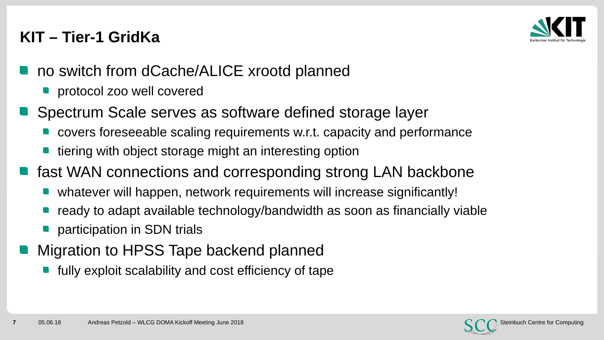### **KIT – Tier-1 GridKa**



- no switch from dCache/ALICE xrootd planned
	- **protocol zoo well covered**
- Spectrum Scale serves as software defined storage layer
	- covers foreseeable scaling requirements w.r.t. capacity and performance
	- tiering with object storage might an interesting option
- **n** fast WAN connections and corresponding strong LAN backbone
	- whatever will happen, network requirements will increase significantly!
	- ready to adapt available technology/bandwidth as soon as financially viable
	- participation in SDN trials
- Migration to HPSS Tape backend planned
	- fully exploit scalability and cost efficiency of tape